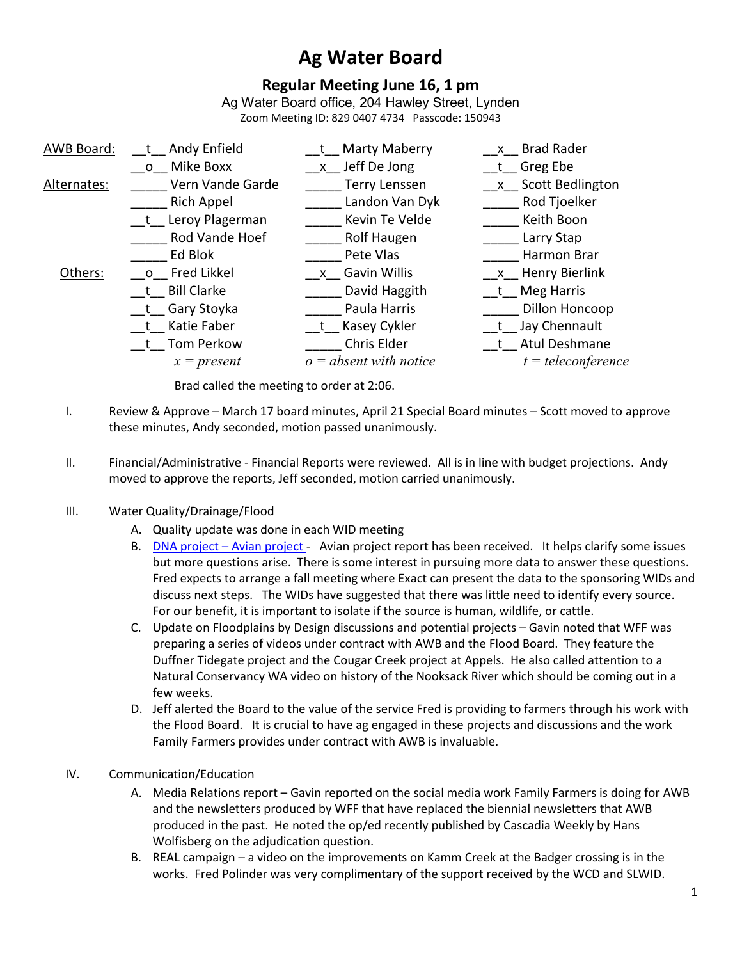# **Ag Water Board**

# **Regular Meeting June 16, 1 pm**

Ag Water Board office, 204 Hawley Street, Lynden Zoom Meeting ID: 829 0407 4734 Passcode: 150943

| AWB Board:  | Andy Enfield      | t Marty Maberry          | x Brad Rader         |
|-------------|-------------------|--------------------------|----------------------|
|             | o Mike Boxx       | x Jeff De Jong           | t Greg Ebe           |
| Alternates: | Vern Vande Garde  | <b>Terry Lenssen</b>     | x Scott Bedlington   |
|             | Rich Appel        | Landon Van Dyk           | Rod Tjoelker         |
|             | t Leroy Plagerman | Kevin Te Velde           | Keith Boon           |
|             | Rod Vande Hoef    | Rolf Haugen              | Larry Stap           |
|             | Ed Blok           | Pete Vlas                | Harmon Brar          |
| Others:     | o Fred Likkel     | x Gavin Willis           | x Henry Bierlink     |
|             | t Bill Clarke     | David Haggith            | t Meg Harris         |
|             | t Gary Stoyka     | Paula Harris             | Dillon Honcoop       |
|             | t Katie Faber     | t Kasey Cykler           | _t_Jay Chennault     |
|             | t Tom Perkow      | Chris Elder              | t Atul Deshmane      |
|             | $x = present$     | $o = absent$ with notice | $t = teleconference$ |
|             |                   |                          |                      |

Brad called the meeting to order at 2:06.

- I. Review & Approve March 17 board minutes, April 21 Special Board minutes Scott moved to approve these minutes, Andy seconded, motion passed unanimously.
- II. Financial/Administrative Financial Reports were reviewed. All is in line with budget projections. Andy moved to approve the reports, Jeff seconded, motion carried unanimously.

## III. Water Quality/Drainage/Flood

- A. Quality update was done in each WID meeting
- B. DNA project Avian project Avian project report has been received. It helps clarify some issues but more questions arise. There is some interest in pursuing more data to answer these questions. Fred expects to arrange a fall meeting where Exact can present the data to the sponsoring WIDs and discuss next steps. The WIDs have suggested that there was little need to identify every source. For our benefit, it is important to isolate if the source is human, wildlife, or cattle.
- C. Update on Floodplains by Design discussions and potential projects Gavin noted that WFF was preparing a series of videos under contract with AWB and the Flood Board. They feature the Duffner Tidegate project and the Cougar Creek project at Appels. He also called attention to a Natural Conservancy WA video on history of the Nooksack River which should be coming out in a few weeks.
- D. Jeff alerted the Board to the value of the service Fred is providing to farmers through his work with the Flood Board. It is crucial to have ag engaged in these projects and discussions and the work Family Farmers provides under contract with AWB is invaluable.
- IV. Communication/Education
	- A. Media Relations report Gavin reported on the social media work Family Farmers is doing for AWB and the newsletters produced by WFF that have replaced the biennial newsletters that AWB produced in the past. He noted the op/ed recently published by Cascadia Weekly by Hans Wolfisberg on the adjudication question.
	- B. REAL campaign a video on the improvements on Kamm Creek at the Badger crossing is in the works. Fred Polinder was very complimentary of the support received by the WCD and SLWID.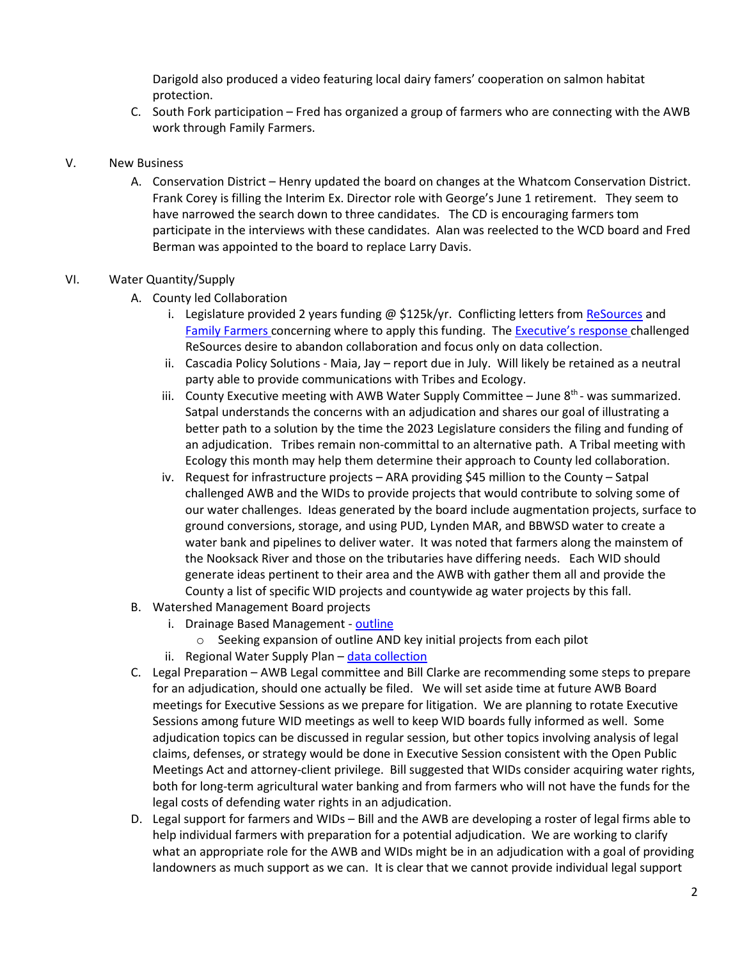Darigold also produced a video featuring local dairy famers' cooperation on salmon habitat protection.

C. South Fork participation – Fred has organized a group of farmers who are connecting with the AWB work through Family Farmers.

#### V. New Business

A. Conservation District – Henry updated the board on changes at the Whatcom Conservation District. Frank Corey is filling the Interim Ex. Director role with George's June 1 retirement. They seem to have narrowed the search down to three candidates. The CD is encouraging farmers tom participate in the interviews with these candidates. Alan was reelected to the WCD board and Fred Berman was appointed to the board to replace Larry Davis.

### VI. Water Quantity/Supply

- A. County led Collaboration
	- i. Legislature provided 2 years funding  $\omega$  \$125k/yr. Conflicting letters from ReSources and Family Farmers concerning where to apply this funding. The Executive's response challenged ReSources desire to abandon collaboration and focus only on data collection.
	- ii. Cascadia Policy Solutions Maia, Jay report due in July. Will likely be retained as a neutral party able to provide communications with Tribes and Ecology.
	- iii. County Executive meeting with AWB Water Supply Committee  $-$  June  $8<sup>th</sup>$  was summarized. Satpal understands the concerns with an adjudication and shares our goal of illustrating a better path to a solution by the time the 2023 Legislature considers the filing and funding of an adjudication. Tribes remain non-committal to an alternative path. A Tribal meeting with Ecology this month may help them determine their approach to County led collaboration.
	- iv. Request for infrastructure projects ARA providing \$45 million to the County Satpal challenged AWB and the WIDs to provide projects that would contribute to solving some of our water challenges. Ideas generated by the board include augmentation projects, surface to ground conversions, storage, and using PUD, Lynden MAR, and BBWSD water to create a water bank and pipelines to deliver water. It was noted that farmers along the mainstem of the Nooksack River and those on the tributaries have differing needs. Each WID should generate ideas pertinent to their area and the AWB with gather them all and provide the County a list of specific WID projects and countywide ag water projects by this fall.
- B. Watershed Management Board projects
	- i. Drainage Based Management outline
		- o Seeking expansion of outline AND key initial projects from each pilot
	- ii. Regional Water Supply Plan data collection
- C. Legal Preparation AWB Legal committee and Bill Clarke are recommending some steps to prepare for an adjudication, should one actually be filed. We will set aside time at future AWB Board meetings for Executive Sessions as we prepare for litigation. We are planning to rotate Executive Sessions among future WID meetings as well to keep WID boards fully informed as well. Some adjudication topics can be discussed in regular session, but other topics involving analysis of legal claims, defenses, or strategy would be done in Executive Session consistent with the Open Public Meetings Act and attorney-client privilege. Bill suggested that WIDs consider acquiring water rights, both for long-term agricultural water banking and from farmers who will not have the funds for the legal costs of defending water rights in an adjudication.
- D. Legal support for farmers and WIDs Bill and the AWB are developing a roster of legal firms able to help individual farmers with preparation for a potential adjudication. We are working to clarify what an appropriate role for the AWB and WIDs might be in an adjudication with a goal of providing landowners as much support as we can. It is clear that we cannot provide individual legal support